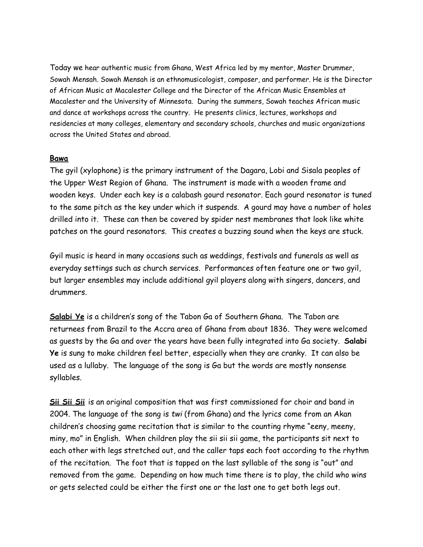Today we hear authentic music from Ghana, West Africa led by my mentor, Master Drummer, Sowah Mensah. Sowah Mensah is an ethnomusicologist, composer, and performer. He is the Director of African Music at Macalester College and the Director of the African Music Ensembles at Macalester and the University of Minnesota. During the summers, Sowah teaches African music and dance at workshops across the country. He presents clinics, lectures, workshops and residencies at many colleges, elementary and secondary schools, churches and music organizations across the United States and abroad.

## **Bawa**

The gyil (xylophone) is the primary instrument of the Dagara, Lobi and Sisala peoples of the Upper West Region of Ghana. The instrument is made with a wooden frame and wooden keys. Under each key is a calabash gourd resonator. Each gourd resonator is tuned to the same pitch as the key under which it suspends. A gourd may have a number of holes drilled into it. These can then be covered by spider nest membranes that look like white patches on the gourd resonators. This creates a buzzing sound when the keys are stuck.

Gyil music is heard in many occasions such as weddings, festivals and funerals as well as everyday settings such as church services. Performances often feature one or two gyil, but larger ensembles may include additional gyil players along with singers, dancers, and drummers.

**Salabi Ye** is a children's song of the Tabon Ga of Southern Ghana. The Tabon are returnees from Brazil to the Accra area of Ghana from about 1836. They were welcomed as guests by the Ga and over the years have been fully integrated into Ga society. **Salabi Ye** is sung to make children feel better, especially when they are cranky. It can also be used as a lullaby. The language of the song is Ga but the words are mostly nonsense syllables.

**Sii Sii Sii** is an original composition that was first commissioned for choir and band in 2004. The language of the song is *twi* (from Ghana) and the lyrics come from an Akan children's choosing game recitation that is similar to the counting rhyme "eeny, meeny, miny, mo" in English. When children play the sii sii sii game, the participants sit next to each other with legs stretched out, and the caller taps each foot according to the rhythm of the recitation. The foot that is tapped on the last syllable of the song is "out" and removed from the game. Depending on how much time there is to play, the child who wins or gets selected could be either the first one or the last one to get both legs out.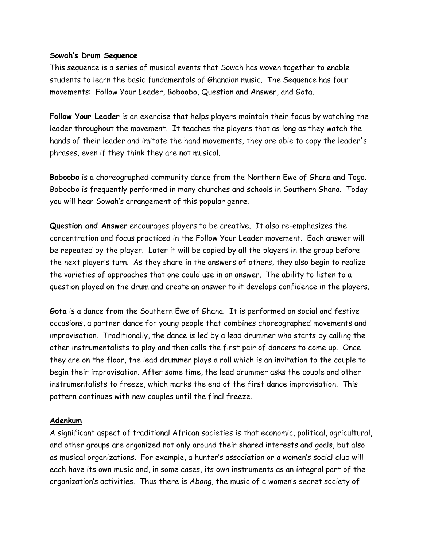## **Sowah's Drum Sequence**

This sequence is a series of musical events that Sowah has woven together to enable students to learn the basic fundamentals of Ghanaian music. The Sequence has four movements: Follow Your Leader, Boboobo, Question and Answer, and Gota.

**Follow Your Leader** is an exercise that helps players maintain their focus by watching the leader throughout the movement. It teaches the players that as long as they watch the hands of their leader and imitate the hand movements, they are able to copy the leader's phrases, even if they think they are not musical.

**Boboobo** is a choreographed community dance from the Northern Ewe of Ghana and Togo. Boboobo is frequently performed in many churches and schools in Southern Ghana. Today you will hear Sowah's arrangement of this popular genre.

**Question and Answer** encourages players to be creative. It also re-emphasizes the concentration and focus practiced in the Follow Your Leader movement. Each answer will be repeated by the player. Later it will be copied by all the players in the group before the next player's turn. As they share in the answers of others, they also begin to realize the varieties of approaches that one could use in an answer. The ability to listen to a question played on the drum and create an answer to it develops confidence in the players.

**Gota** is a dance from the Southern Ewe of Ghana. It is performed on social and festive occasions, a partner dance for young people that combines choreographed movements and improvisation. Traditionally, the dance is led by a lead drummer who starts by calling the other instrumentalists to play and then calls the first pair of dancers to come up. Once they are on the floor, the lead drummer plays a roll which is an invitation to the couple to begin their improvisation. After some time, the lead drummer asks the couple and other instrumentalists to freeze, which marks the end of the first dance improvisation. This pattern continues with new couples until the final freeze.

## **Adenkum**

A significant aspect of traditional African societies is that economic, political, agricultural, and other groups are organized not only around their shared interests and goals, but also as musical organizations. For example, a hunter's association or a women's social club will each have its own music and, in some cases, its own instruments as an integral part of the organization's activities. Thus there is *Abong*, the music of a women's secret society of